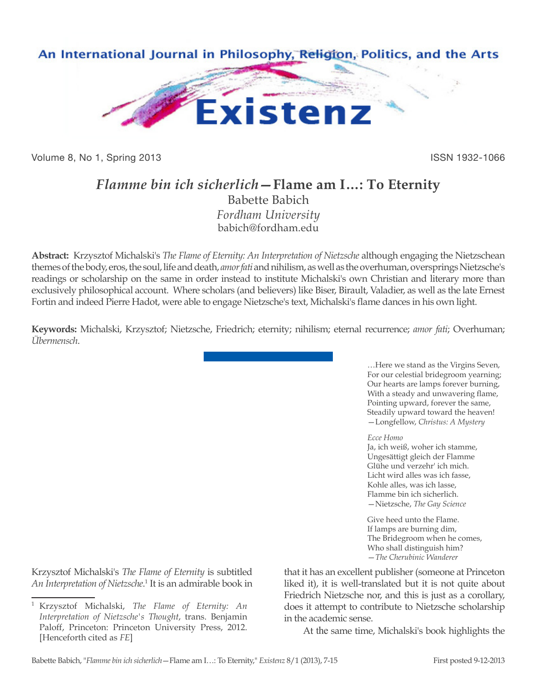

Volume 8, No 1, Spring 2013 **ISSN 1932-1066** 

## *Flamme bin ich sicherlich***—Flame am I…: To Eternity**

Babette Babich *Fordham University* babich@fordham.edu

**Abstract:** Krzysztof Michalski's *The Flame of Eternity: An Interpretation of Nietzsche* although engaging the Nietzschean themes of the body, eros, the soul, life and death, *amor fati* and nihilism, as well as the overhuman, oversprings Nietzsche's readings or scholarship on the same in order instead to institute Michalski's own Christian and literary more than exclusively philosophical account. Where scholars (and believers) like Biser, Birault, Valadier, as well as the late Ernest Fortin and indeed Pierre Hadot, were able to engage Nietzsche's text, Michalski's flame dances in his own light.

**Keywords:** Michalski, Krzysztof; Nietzsche, Friedrich; eternity; nihilism; eternal recurrence; *amor fati*; Overhuman; *Übermensch*.

> …Here we stand as the Virgins Seven, For our celestial bridegroom yearning; Our hearts are lamps forever burning, With a steady and unwavering flame, Pointing upward, forever the same, Steadily upward toward the heaven! —Longfellow, *Christus: A Mystery*

*Ecce Homo*

Ja, ich weiß, woher ich stamme, Ungesättigt gleich der Flamme Glühe und verzehr' ich mich. Licht wird alles was ich fasse, Kohle alles, was ich lasse, Flamme bin ich sicherlich. —Nietzsche, *The Gay Science*

Give heed unto the Flame. If lamps are burning dim, The Bridegroom when he comes, Who shall distinguish him? —*The Cherubinic Wanderer*

Krzysztof Michalski's *The Flame of Eternity* is subtitled An Interpretation of Nietzsche.<sup>1</sup> It is an admirable book in that it has an excellent publisher (someone at Princeton liked it), it is well-translated but it is not quite about Friedrich Nietzsche nor, and this is just as a corollary, does it attempt to contribute to Nietzsche scholarship in the academic sense.

At the same time, Michalski's book highlights the

<sup>1</sup> Krzysztof Michalski, *The Flame of Eternity: An Interpretation of Nietzsche's Thought*, trans. Benjamin Paloff, Princeton: Princeton University Press, 2012. [Henceforth cited as *FE*]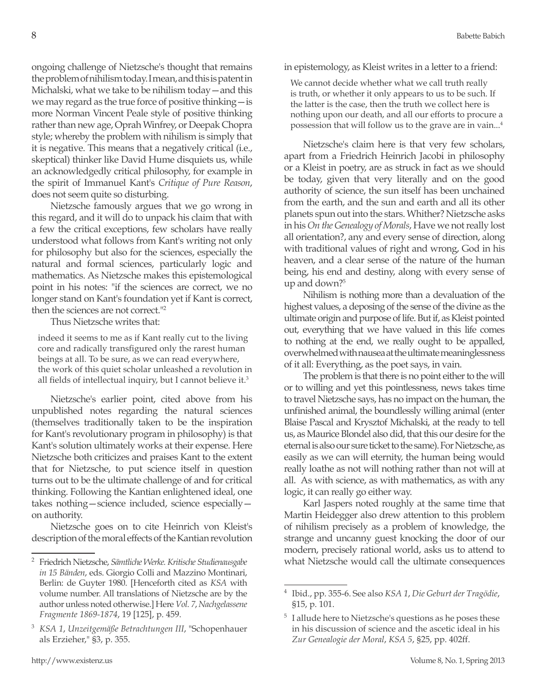ongoing challenge of Nietzsche's thought that remains the problem of nihilism today. I mean, and this is patent in Michalski, what we take to be nihilism today—and this we may regard as the true force of positive thinking—is more Norman Vincent Peale style of positive thinking rather than new age, Oprah Winfrey, or Deepak Chopra style; whereby the problem with nihilism is simply that it is negative. This means that a negatively critical (i.e., skeptical) thinker like David Hume disquiets us, while an acknowledgedly critical philosophy, for example in the spirit of Immanuel Kant's *Critique of Pure Reason*, does not seem quite so disturbing.

Nietzsche famously argues that we go wrong in this regard, and it will do to unpack his claim that with a few the critical exceptions, few scholars have really understood what follows from Kant's writing not only for philosophy but also for the sciences, especially the natural and formal sciences, particularly logic and mathematics. As Nietzsche makes this epistemological point in his notes: "if the sciences are correct, we no longer stand on Kant's foundation yet if Kant is correct, then the sciences are not correct."2

Thus Nietzsche writes that:

indeed it seems to me as if Kant really cut to the living core and radically transfigured only the rarest human beings at all. To be sure, as we can read everywhere, the work of this quiet scholar unleashed a revolution in all fields of intellectual inquiry, but I cannot believe it.<sup>3</sup>

Nietzsche's earlier point, cited above from his unpublished notes regarding the natural sciences (themselves traditionally taken to be the inspiration for Kant's revolutionary program in philosophy) is that Kant's solution ultimately works at their expense. Here Nietzsche both criticizes and praises Kant to the extent that for Nietzsche, to put science itself in question turns out to be the ultimate challenge of and for critical thinking. Following the Kantian enlightened ideal, one takes nothing—science included, science especially on authority.

Nietzsche goes on to cite Heinrich von Kleist's description of the moral effects of the Kantian revolution in epistemology, as Kleist writes in a letter to a friend:

We cannot decide whether what we call truth really is truth, or whether it only appears to us to be such. If the latter is the case, then the truth we collect here is nothing upon our death, and all our efforts to procure a possession that will follow us to the grave are in vain...4

Nietzsche's claim here is that very few scholars, apart from a Friedrich Heinrich Jacobi in philosophy or a Kleist in poetry, are as struck in fact as we should be today, given that very literally and on the good authority of science, the sun itself has been unchained from the earth, and the sun and earth and all its other planets spun out into the stars. Whither? Nietzsche asks in his *On the Genealogy of Morals*, Have we not really lost all orientation?, any and every sense of direction, along with traditional values of right and wrong, God in his heaven, and a clear sense of the nature of the human being, his end and destiny, along with every sense of up and down?<sup>5</sup>

Nihilism is nothing more than a devaluation of the highest values, a deposing of the sense of the divine as the ultimate origin and purpose of life. But if, as Kleist pointed out, everything that we have valued in this life comes to nothing at the end, we really ought to be appalled, overwhelmed with nausea at the ultimate meaninglessness of it all: Everything, as the poet says, in vain.

The problem is that there is no point either to the will or to willing and yet this pointlessness, news takes time to travel Nietzsche says, has no impact on the human, the unfinished animal, the boundlessly willing animal (enter Blaise Pascal and Krysztof Michalski, at the ready to tell us, as Maurice Blondel also did, that this our desire for the eternal is also our sure ticket to the same). For Nietzsche, as easily as we can will eternity, the human being would really loathe as not will nothing rather than not will at all. As with science, as with mathematics, as with any logic, it can really go either way.

Karl Jaspers noted roughly at the same time that Martin Heidegger also drew attention to this problem of nihilism precisely as a problem of knowledge, the strange and uncanny guest knocking the door of our modern, precisely rational world, asks us to attend to what Nietzsche would call the ultimate consequences

<sup>2</sup> Friedrich Nietzsche, *Sämtliche Werke. Kritische Studienausgabe in 15 Bänden*, eds. Giorgio Colli and Mazzino Montinari, Berlin: de Guyter 1980. [Henceforth cited as *KSA* with volume number. All translations of Nietzsche are by the author unless noted otherwise.] Here *Vol. 7*, *Nachgelassene Fragmente 1869-1874*, 19 [125], p. 459.

<sup>3</sup> *KSA 1*, *Unzeitgemäße Betrachtungen III*, "Schopenhauer als Erzieher," §3, p. 355.

<sup>4</sup> Ibid., pp. 355-6. See also *KSA 1*, *Die Geburt der Tragödie*, §15, p. 101.

<sup>5</sup> I allude here to Nietzsche's questions as he poses these in his discussion of science and the ascetic ideal in his *Zur Genealogie der Moral*, *KSA 5*, §25, pp. 402ff.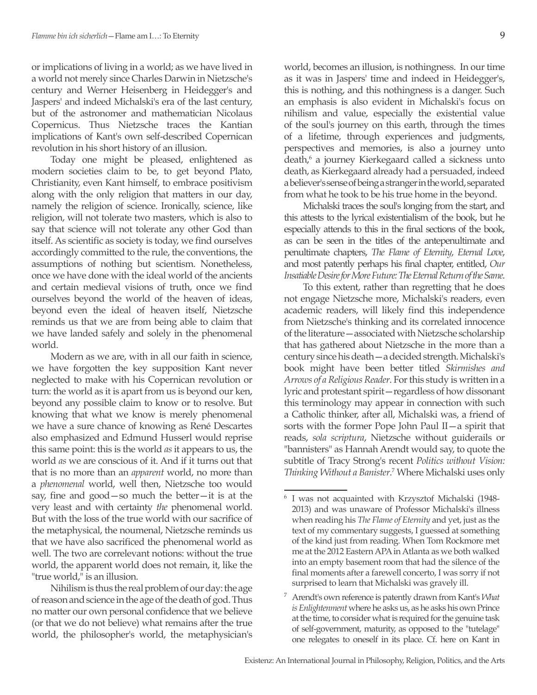or implications of living in a world; as we have lived in a world not merely since Charles Darwin in Nietzsche's century and Werner Heisenberg in Heidegger's and Jaspers' and indeed Michalski's era of the last century, but of the astronomer and mathematician Nicolaus Copernicus. Thus Nietzsche traces the Kantian implications of Kant's own self-described Copernican revolution in his short history of an illusion.

Today one might be pleased, enlightened as modern societies claim to be, to get beyond Plato, Christianity, even Kant himself, to embrace positivism along with the only religion that matters in our day, namely the religion of science. Ironically, science, like religion, will not tolerate two masters, which is also to say that science will not tolerate any other God than itself. As scientific as society is today, we find ourselves accordingly committed to the rule, the conventions, the assumptions of nothing but scientism. Nonetheless, once we have done with the ideal world of the ancients and certain medieval visions of truth, once we find ourselves beyond the world of the heaven of ideas, beyond even the ideal of heaven itself, Nietzsche reminds us that we are from being able to claim that we have landed safely and solely in the phenomenal world.

Modern as we are, with in all our faith in science, we have forgotten the key supposition Kant never neglected to make with his Copernican revolution or turn: the world as it is apart from us is beyond our ken, beyond any possible claim to know or to resolve. But knowing that what we know is merely phenomenal we have a sure chance of knowing as René Descartes also emphasized and Edmund Husserl would reprise this same point: this is the world *as* it appears to us, the world *as* we are conscious of it. And if it turns out that that is no more than an *apparent* world, no more than a *phenomenal* world, well then, Nietzsche too would say, fine and good—so much the better—it is at the very least and with certainty *the* phenomenal world. But with the loss of the true world with our sacrifice of the metaphysical, the noumenal, Nietzsche reminds us that we have also sacrificed the phenomenal world as well. The two are correlevant notions: without the true world, the apparent world does not remain, it, like the "true world," is an illusion.

Nihilism is thus the real problem of our day: the age of reason and science in the age of the death of god. Thus no matter our own personal confidence that we believe (or that we do not believe) what remains after the true world, the philosopher's world, the metaphysician's world, becomes an illusion, is nothingness. In our time as it was in Jaspers' time and indeed in Heidegger's, this is nothing, and this nothingness is a danger. Such an emphasis is also evident in Michalski's focus on nihilism and value, especially the existential value of the soul's journey on this earth, through the times of a lifetime, through experiences and judgments, perspectives and memories, is also a journey unto death,<sup>6</sup> a journey Kierkegaard called a sickness unto death, as Kierkegaard already had a persuaded, indeed a believer's sense of being a stranger in the world, separated from what he took to be his true home in the beyond.

Michalski traces the soul's longing from the start, and this attests to the lyrical existentialism of the book, but he especially attends to this in the final sections of the book, as can be seen in the titles of the antepenultimate and penultimate chapters, *The Flame of Eternity*, *Eternal Love*, and most patently perhaps his final chapter, entitled, *Our Insatiable Desire for More Future: The Eternal Return of the Same*.

To this extent, rather than regretting that he does not engage Nietzsche more, Michalski's readers, even academic readers, will likely find this independence from Nietzsche's thinking and its correlated innocence of the literature—associated with Nietzsche scholarship that has gathered about Nietzsche in the more than a century since his death—a decided strength. Michalski's book might have been better titled *Skirmishes and Arrows of a Religious Reader*. For this study is written in a lyric and protestant spirit—regardless of how dissonant this terminology may appear in connection with such a Catholic thinker, after all, Michalski was, a friend of sorts with the former Pope John Paul II—a spirit that reads, *sola scriptura*, Nietzsche without guiderails or "bannisters" as Hannah Arendt would say, to quote the subtitle of Tracy Strong's recent *Politics without Vision: Thinking Without a Banister*. 7 Where Michalski uses only

<sup>6</sup> I was not acquainted with Krzysztof Michalski (1948- 2013) and was unaware of Professor Michalski's illness when reading his *The Flame of Eternity* and yet, just as the text of my commentary suggests, I guessed at something of the kind just from reading. When Tom Rockmore met me at the 2012 Eastern APA in Atlanta as we both walked into an empty basement room that had the silence of the final moments after a farewell concerto, I was sorry if not surprised to learn that Michalski was gravely ill.

<sup>7</sup> Arendt's own reference is patently drawn from Kant's *What is Enlightenment* where he asks us, as he asks his own Prince at the time, to consider what is required for the genuine task of self-government, maturity, as opposed to the "tutelage" one relegates to oneself in its place. Cf. here on Kant in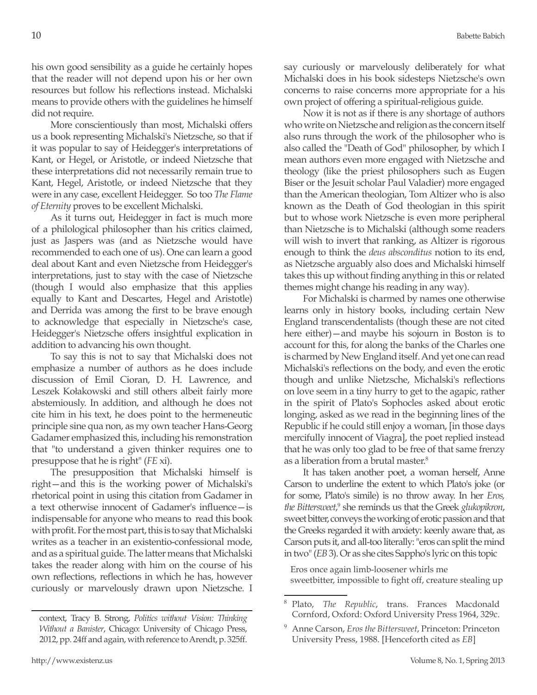his own good sensibility as a guide he certainly hopes that the reader will not depend upon his or her own resources but follow his reflections instead. Michalski means to provide others with the guidelines he himself did not require.

More conscientiously than most, Michalski offers us a book representing Michalski's Nietzsche, so that if it was popular to say of Heidegger's interpretations of Kant, or Hegel, or Aristotle, or indeed Nietzsche that these interpretations did not necessarily remain true to Kant, Hegel, Aristotle, or indeed Nietzsche that they were in any case, excellent Heidegger. So too *The Flame of Eternity* proves to be excellent Michalski.

As it turns out, Heidegger in fact is much more of a philological philosopher than his critics claimed, just as Jaspers was (and as Nietzsche would have recommended to each one of us). One can learn a good deal about Kant and even Nietzsche from Heidegger's interpretations, just to stay with the case of Nietzsche (though I would also emphasize that this applies equally to Kant and Descartes, Hegel and Aristotle) and Derrida was among the first to be brave enough to acknowledge that especially in Nietzsche's case, Heidegger's Nietzsche offers insightful explication in addition to advancing his own thought.

To say this is not to say that Michalski does not emphasize a number of authors as he does include discussion of Emil Cioran, D. H. Lawrence, and Leszek Kołakowski and still others albeit fairly more abstemiously. In addition, and although he does not cite him in his text, he does point to the hermeneutic principle sine qua non, as my own teacher Hans-Georg Gadamer emphasized this, including his remonstration that "to understand a given thinker requires one to presuppose that he is right" (*FE* xi).

The presupposition that Michalski himself is right—and this is the working power of Michalski's rhetorical point in using this citation from Gadamer in a text otherwise innocent of Gadamer's influence—is indispensable for anyone who means to read this book with profit. For the most part, this is to say that Michalski writes as a teacher in an existentio-confessional mode, and as a spiritual guide. The latter means that Michalski takes the reader along with him on the course of his own reflections, reflections in which he has, however curiously or marvelously drawn upon Nietzsche. I say curiously or marvelously deliberately for what Michalski does in his book sidesteps Nietzsche's own concerns to raise concerns more appropriate for a his own project of offering a spiritual-religious guide.

Now it is not as if there is any shortage of authors who write on Nietzsche and religion as the concern itself also runs through the work of the philosopher who is also called the "Death of God" philosopher, by which I mean authors even more engaged with Nietzsche and theology (like the priest philosophers such as Eugen Biser or the Jesuit scholar Paul Valadier) more engaged than the American theologian, Tom Altizer who is also known as the Death of God theologian in this spirit but to whose work Nietzsche is even more peripheral than Nietzsche is to Michalski (although some readers will wish to invert that ranking, as Altizer is rigorous enough to think the *deus absconditus* notion to its end, as Nietzsche arguably also does and Michalski himself takes this up without finding anything in this or related themes might change his reading in any way).

For Michalski is charmed by names one otherwise learns only in history books, including certain New England transcendentalists (though these are not cited here either)—and maybe his sojourn in Boston is to account for this, for along the banks of the Charles one is charmed by New England itself. And yet one can read Michalski's reflections on the body, and even the erotic though and unlike Nietzsche, Michalski's reflections on love seem in a tiny hurry to get to the agapic, rather in the spirit of Plato's Sophocles asked about erotic longing, asked as we read in the beginning lines of the Republic if he could still enjoy a woman, [in those days mercifully innocent of Viagra], the poet replied instead that he was only too glad to be free of that same frenzy as a liberation from a brutal master.<sup>8</sup>

It has taken another poet, a woman herself, Anne Carson to underline the extent to which Plato's joke (or for some, Plato's simile) is no throw away. In her *Eros,*  the Bittersweet,<sup>9</sup> she reminds us that the Greek *glukopikron*, sweet bitter, conveys the working of erotic passion and that the Greeks regarded it with anxiety: keenly aware that, as Carson puts it, and all-too literally: "eros can split the mind in two" (*EB* 3). Or as she cites Sappho's lyric on this topic

Eros once again limb-loosener whirls me sweetbitter, impossible to fight off, creature stealing up

context, Tracy B. Strong, *Politics without Vision: Thinking Without a Banister*, Chicago: University of Chicago Press, 2012, pp. 24ff and again, with reference to Arendt, p. 325ff.

<sup>8</sup> Plato, *The Republic*, trans. Frances Macdonald Cornford, Oxford: Oxford University Press 1964, 329c.

<sup>9</sup> Anne Carson, *Eros the Bittersweet*, Princeton: Princeton University Press, 1988. [Henceforth cited as *EB*]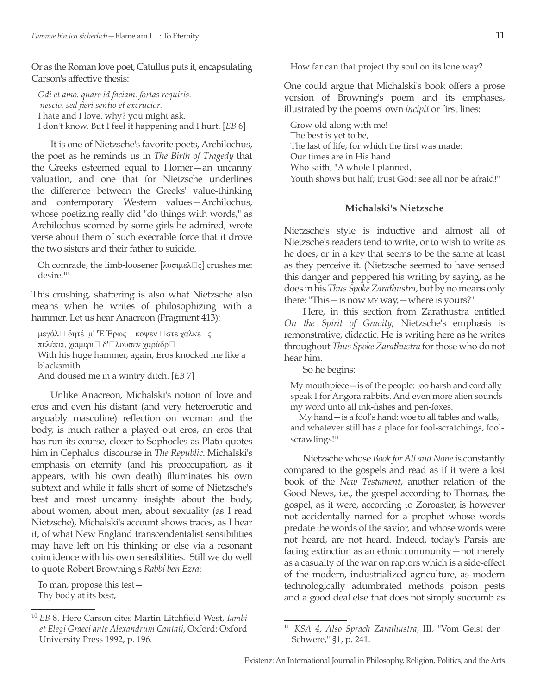Or as the Roman love poet, Catullus puts it, encapsulating Carson's affective thesis:

*Odi et amo. quare id faciam. fortas requiris. nescio, sed fieri sentio et excrucior.* I hate and I love. why? you might ask. I don't know. But I feel it happening and I hurt. [*EB* 6]

It is one of Nietzsche's favorite poets, Archilochus, the poet as he reminds us in *The Birth of Tragedy* that the Greeks esteemed equal to Homer—an uncanny valuation, and one that for Nietzsche underlines the difference between the Greeks' value-thinking and contemporary Western values—Archilochus, whose poetizing really did "do things with words," as Archilochus scorned by some girls he admired, wrote verse about them of such execrable force that it drove the two sisters and their father to suicide.

Oh comrade, the limb-loosener [λυσιμελ $\Box$ ς] crushes me: desire.10

This crushing, shattering is also what Nietzsche also means when he writes of philosophizing with a hammer. Let us hear Anacreon (Fragment 413):

μεγάλ□ δητέ μ' 'Έ Έρως □κοψεν □στε χαλκε□ς πελέκει, χειμερι□ δ'□λουσεν χαράδρ□ With his huge hammer, again, Eros knocked me like a blacksmith

And doused me in a wintry ditch. [*EB* 7]

Unlike Anacreon, Michalski's notion of love and eros and even his distant (and very heteroerotic and arguably masculine) reflection on woman and the body, is much rather a played out eros, an eros that has run its course, closer to Sophocles as Plato quotes him in Cephalus' discourse in *The Republic*. Michalski's emphasis on eternity (and his preoccupation, as it appears, with his own death) illuminates his own subtext and while it falls short of some of Nietzsche's best and most uncanny insights about the body, about women, about men, about sexuality (as I read Nietzsche), Michalski's account shows traces, as I hear it, of what New England transcendentalist sensibilities may have left on his thinking or else via a resonant coincidence with his own sensibilities. Still we do well to quote Robert Browning's *Rabbi ben Ezra*:

To man, propose this test— Thy body at its best,

How far can that project thy soul on its lone way?

One could argue that Michalski's book offers a prose version of Browning's poem and its emphases, illustrated by the poems' own *incipit* or first lines:

Grow old along with me! The best is yet to be, The last of life, for which the first was made: Our times are in His hand Who saith, "A whole I planned, Youth shows but half; trust God: see all nor be afraid!"

## **Michalski's Nietzsche**

Nietzsche's style is inductive and almost all of Nietzsche's readers tend to write, or to wish to write as he does, or in a key that seems to be the same at least as they perceive it. (Nietzsche seemed to have sensed this danger and peppered his writing by saying, as he does in his *Thus Spoke Zarathustra*, but by no means only there: "This—is now my way,—where is yours?"

Here, in this section from Zarathustra entitled *On the Spirit of Gravity*, Nietzsche's emphasis is remonstrative, didactic. He is writing here as he writes throughout *Thus Spoke Zarathustra* for those who do not hear him.

So he begins:

My mouthpiece—is of the people: too harsh and cordially speak I for Angora rabbits. And even more alien sounds my word unto all ink-fishes and pen-foxes.

My hand—is a fool's hand: woe to all tables and walls, and whatever still has a place for fool-scratchings, foolscrawlings!<sup>11</sup>

Nietzsche whose *Book for All and None* is constantly compared to the gospels and read as if it were a lost book of the *New Testament*, another relation of the Good News, i.e., the gospel according to Thomas, the gospel, as it were, according to Zoroaster, is however not accidentally named for a prophet whose words predate the words of the savior, and whose words were not heard, are not heard. Indeed, today's Parsis are facing extinction as an ethnic community—not merely as a casualty of the war on raptors which is a side-effect of the modern, industrialized agriculture, as modern technologically adumbrated methods poison pests and a good deal else that does not simply succumb as

<sup>10</sup> *EB* 8. Here Carson cites Martin Litchfield West, *Iambi et Elegi Graeci ante Alexandrum Cantati*, Oxford: Oxford University Press 1992, p. 196.

<sup>11</sup> *KSA 4*, *Also Sprach Zarathustra*, III, "Vom Geist der Schwere," §1, p. 241.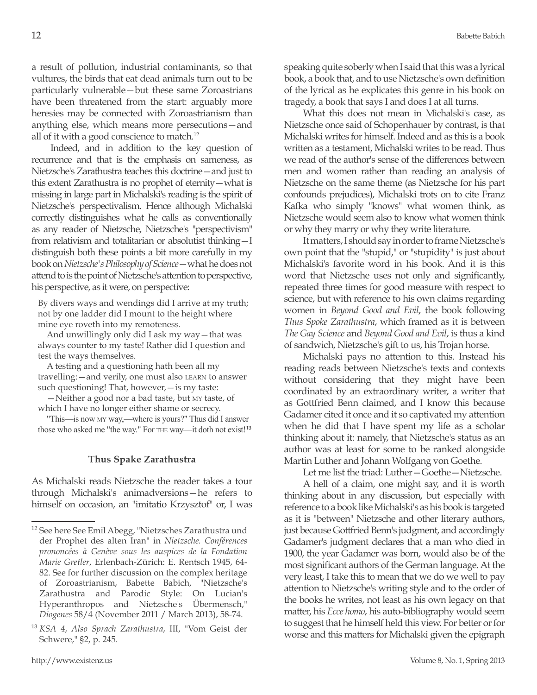a result of pollution, industrial contaminants, so that vultures, the birds that eat dead animals turn out to be particularly vulnerable—but these same Zoroastrians have been threatened from the start: arguably more heresies may be connected with Zoroastrianism than anything else, which means more persecutions—and all of it with a good conscience to match.<sup>12</sup>

Indeed, and in addition to the key question of recurrence and that is the emphasis on sameness, as Nietzsche's Zarathustra teaches this doctrine—and just to this extent Zarathustra is no prophet of eternity—what is missing in large part in Michalski's reading is the spirit of Nietzsche's perspectivalism. Hence although Michalski correctly distinguishes what he calls as conventionally as any reader of Nietzsche, Nietzsche's "perspectivism" from relativism and totalitarian or absolutist thinking—I distinguish both these points a bit more carefully in my book on *Nietzsche's Philosophy of Science*—what he does not attend to is the point of Nietzsche's attention to perspective, his perspective, as it were, on perspective:

By divers ways and wendings did I arrive at my truth; not by one ladder did I mount to the height where mine eye roveth into my remoteness.

And unwillingly only did I ask my way—that was always counter to my taste! Rather did I question and test the ways themselves.

A testing and a questioning hath been all my travelling:—and verily, one must also learn to answer such questioning! That, however,—is my taste:

—Neither a good nor a bad taste, but my taste, of which I have no longer either shame or secrecy.

"This—is now my way,—where is yours?" Thus did I answer those who asked me "the way." For THE way—it doth not exist!<sup>13</sup>

## **Thus Spake Zarathustra**

As Michalski reads Nietzsche the reader takes a tour through Michalski's animadversions—he refers to himself on occasion, an "imitatio Krzysztof" or, I was speaking quite soberly when I said that this was a lyrical book, a book that, and to use Nietzsche's own definition of the lyrical as he explicates this genre in his book on tragedy, a book that says I and does I at all turns.

What this does not mean in Michalski's case, as Nietzsche once said of Schopenhauer by contrast, is that Michalski writes for himself. Indeed and as this is a book written as a testament, Michalski writes to be read. Thus we read of the author's sense of the differences between men and women rather than reading an analysis of Nietzsche on the same theme (as Nietzsche for his part confounds prejudices), Michalski trots on to cite Franz Kafka who simply "knows" what women think, as Nietzsche would seem also to know what women think or why they marry or why they write literature.

It matters, I should say in order to frame Nietzsche's own point that the "stupid," or "stupidity" is just about Michalski's favorite word in his book. And it is this word that Nietzsche uses not only and significantly, repeated three times for good measure with respect to science, but with reference to his own claims regarding women in *Beyond Good and Evil*, the book following *Thus Spoke Zarathustra*, which framed as it is between *The Gay Science* and *Beyond Good and Evil*, is thus a kind of sandwich, Nietzsche's gift to us, his Trojan horse.

Michalski pays no attention to this. Instead his reading reads between Nietzsche's texts and contexts without considering that they might have been coordinated by an extraordinary writer, a writer that as Gottfried Benn claimed, and I know this because Gadamer cited it once and it so captivated my attention when he did that I have spent my life as a scholar thinking about it: namely, that Nietzsche's status as an author was at least for some to be ranked alongside Martin Luther and Johann Wolfgang von Goethe.

Let me list the triad: Luther—Goethe—Nietzsche.

A hell of a claim, one might say, and it is worth thinking about in any discussion, but especially with reference to a book like Michalski's as his book is targeted as it is "between" Nietzsche and other literary authors, just because Gottfried Benn's judgment, and accordingly Gadamer's judgment declares that a man who died in 1900, the year Gadamer was born, would also be of the most significant authors of the German language. At the very least, I take this to mean that we do we well to pay attention to Nietzsche's writing style and to the order of the books he writes, not least as his own legacy on that matter, his *Ecce homo*, his auto-bibliography would seem to suggest that he himself held this view. For better or for worse and this matters for Michalski given the epigraph

<sup>12</sup> See here See Emil Abegg, "Nietzsches Zarathustra und der Prophet des alten Iran" in *Nietzsche. Conférences prononcées à Genève sous les auspices de la Fondation Marie Gretler*, Erlenbach-Zürich: E. Rentsch 1945, 64- 82. See for further discussion on the complex heritage of Zoroastrianism, Babette Babich, "Nietzsche's Zarathustra and Parodic Style: On Lucian's Hyperanthropos and Nietzsche's Übermensch," *Diogenes* 58/4 (November 2011 / March 2013), 58-74.

<sup>13</sup> *KSA 4*, *Also Sprach Zarathustra*, III, "Vom Geist der Schwere," §2, p. 245.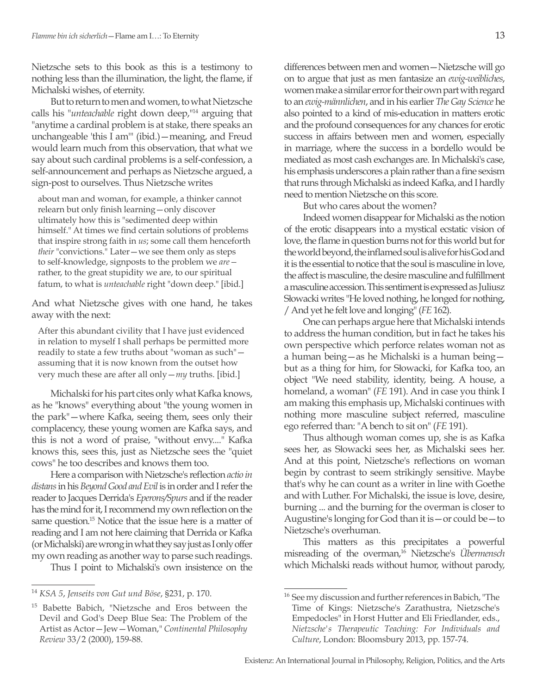Nietzsche sets to this book as this is a testimony to nothing less than the illumination, the light, the flame, if Michalski wishes, of eternity.

But to return to men and women, to what Nietzsche calls his "*unteachable* right down deep,"14 arguing that "anytime a cardinal problem is at stake, there speaks an unchangeable 'this I am'" (ibid.)—meaning, and Freud would learn much from this observation, that what we say about such cardinal problems is a self-confession, a self-announcement and perhaps as Nietzsche argued, a sign-post to ourselves. Thus Nietzsche writes

about man and woman, for example, a thinker cannot relearn but only finish learning—only discover ultimately how this is "sedimented deep within himself." At times we find certain solutions of problems that inspire strong faith in *us*; some call them henceforth *their* "convictions." Later—we see them only as steps to self-knowledge, signposts to the problem we *are* rather, to the great stupidity we are, to our spiritual fatum, to what is *unteachable* right "down deep." [ibid.]

And what Nietzsche gives with one hand, he takes away with the next:

After this abundant civility that I have just evidenced in relation to myself I shall perhaps be permitted more readily to state a few truths about "woman as such" assuming that it is now known from the outset how very much these are after all only—*my* truths. [ibid.]

Michalski for his part cites only what Kafka knows, as he "knows" everything about "the young women in the park"—where Kafka, seeing them, sees only their complacency, these young women are Kafka says, and this is not a word of praise, "without envy...." Kafka knows this, sees this, just as Nietzsche sees the "quiet cows" he too describes and knows them too.

Here a comparison with Nietzsche's reflection *actio in distans* in his *Beyond Good and Evil* is in order and I refer the reader to Jacques Derrida's *Eperons/Spurs* and if the reader has the mind for it, I recommend my own reflection on the same question.<sup>15</sup> Notice that the issue here is a matter of reading and I am not here claiming that Derrida or Kafka (or Michalski) are wrong in what they say just as I only offer my own reading as another way to parse such readings.

Thus I point to Michalski's own insistence on the

differences between men and women—Nietzsche will go on to argue that just as men fantasize an *ewig-weibliches*, women make a similar error for their own part with regard to an *ewig-männlichen*, and in his earlier *The Gay Science* he also pointed to a kind of mis-education in matters erotic and the profound consequences for any chances for erotic success in affairs between men and women, especially in marriage, where the success in a bordello would be mediated as most cash exchanges are. In Michalski's case, his emphasis underscores a plain rather than a fine sexism that runs through Michalski as indeed Kafka, and I hardly need to mention Nietzsche on this score.

But who cares about the women?

Indeed women disappear for Michalski as the notion of the erotic disappears into a mystical ecstatic vision of love, the flame in question burns not for this world but for the world beyond, the inflamed soul is alive for his God and it is the essential to notice that the soul is masculine in love, the affect is masculine, the desire masculine and fulfillment a masculine accession. This sentiment is expressed as Juliusz Słowacki writes "He loved nothing, he longed for nothing, / And yet he felt love and longing" (*FE* 162).

One can perhaps argue here that Michalski intends to address the human condition, but in fact he takes his own perspective which perforce relates woman not as a human being—as he Michalski is a human being but as a thing for him, for Słowacki, for Kafka too, an object "We need stability, identity, being. A house, a homeland, a woman" (*FE* 191). And in case you think I am making this emphasis up, Michalski continues with nothing more masculine subject referred, masculine ego referred than: "A bench to sit on" (*FE* 191).

Thus although woman comes up, she is as Kafka sees her, as Słowacki sees her, as Michalski sees her. And at this point, Nietzsche's reflections on woman begin by contrast to seem strikingly sensitive. Maybe that's why he can count as a writer in line with Goethe and with Luther. For Michalski, the issue is love, desire, burning ... and the burning for the overman is closer to Augustine's longing for God than it is—or could be—to Nietzsche's overhuman.

This matters as this precipitates a powerful misreading of the overman,16 Nietzsche's *Übermensch* which Michalski reads without humor, without parody,

<sup>14</sup> *KSA 5*, *Jenseits von Gut und Böse*, §231, p. 170.

<sup>15</sup> Babette Babich, "Nietzsche and Eros between the Devil and God's Deep Blue Sea: The Problem of the Artist as Actor—Jew—Woman," *Continental Philosophy Review* 33/2 (2000), 159-88.

<sup>&</sup>lt;sup>16</sup> See my discussion and further references in Babich, "The Time of Kings: Nietzsche's Zarathustra, Nietzsche's Empedocles" in Horst Hutter and Eli Friedlander, eds., *Nietzsche's Therapeutic Teaching: For Individuals and Culture*, London: Bloomsbury 2013, pp. 157-74.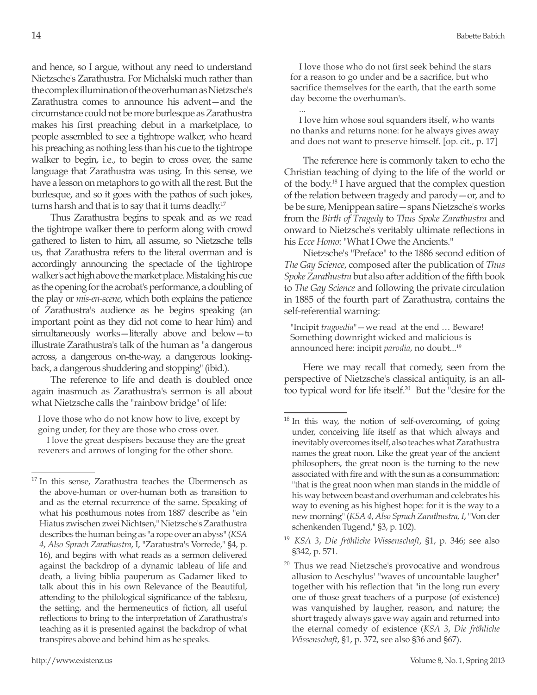and hence, so I argue, without any need to understand Nietzsche's Zarathustra. For Michalski much rather than the complex illumination of the overhuman as Nietzsche's Zarathustra comes to announce his advent—and the circumstance could not be more burlesque as Zarathustra makes his first preaching debut in a marketplace, to people assembled to see a tightrope walker, who heard his preaching as nothing less than his cue to the tightrope walker to begin, i.e., to begin to cross over, the same language that Zarathustra was using. In this sense, we have a lesson on metaphors to go with all the rest. But the burlesque, and so it goes with the pathos of such jokes, turns harsh and that is to say that it turns deadly.<sup>17</sup>

Thus Zarathustra begins to speak and as we read the tightrope walker there to perform along with crowd gathered to listen to him, all assume, so Nietzsche tells us, that Zarathustra refers to the literal overman and is accordingly announcing the spectacle of the tightrope walker's act high above the market place. Mistaking his cue as the opening for the acrobat's performance, a doubling of the play or *mis-en-scene*, which both explains the patience of Zarathustra's audience as he begins speaking (an important point as they did not come to hear him) and simultaneously works—literally above and below—to illustrate Zarathustra's talk of the human as "a dangerous across, a dangerous on-the-way, a dangerous lookingback, a dangerous shuddering and stopping" (ibid.).

The reference to life and death is doubled once again inasmuch as Zarathustra's sermon is all about what Nietzsche calls the "rainbow bridge" of life:

I love those who do not know how to live, except by going under, for they are those who cross over.

I love the great despisers because they are the great reverers and arrows of longing for the other shore.

I love those who do not first seek behind the stars for a reason to go under and be a sacrifice, but who sacrifice themselves for the earth, that the earth some day become the overhuman's.

... I love him whose soul squanders itself, who wants no thanks and returns none: for he always gives away and does not want to preserve himself. [op. cit., p. 17]

The reference here is commonly taken to echo the Christian teaching of dying to the life of the world or of the body.18 I have argued that the complex question of the relation between tragedy and parody—or, and to be be sure, Menippean satire—spans Nietzsche's works from the *Birth of Tragedy* to *Thus Spoke Zarathustra* and onward to Nietzsche's veritably ultimate reflections in his *Ecce Homo*: "What I Owe the Ancients."

Nietzsche's "Preface" to the 1886 second edition of *The Gay Science*, composed after the publication of *Thus Spoke Zarathustra* but also after addition of the fifth book to *The Gay Science* and following the private circulation in 1885 of the fourth part of Zarathustra, contains the self-referential warning:

"Incipit *tragoedia*"—we read at the end … Beware! Something downright wicked and malicious is announced here: incipit *parodia*, no doubt...<sup>19</sup>

Here we may recall that comedy, seen from the perspective of Nietzsche's classical antiquity, is an alltoo typical word for life itself.20 But the "desire for the

<sup>&</sup>lt;sup>17</sup> In this sense, Zarathustra teaches the Übermensch as the above-human or over-human both as transition to and as the eternal recurrence of the same. Speaking of what his posthumous notes from 1887 describe as "ein Hiatus zwischen zwei Nichtsen," Nietzsche's Zarathustra describes the human being as "a rope over an abyss" (*KSA 4*, *Also Sprach Zarathustra*, I, "Zaratustra's Vorrede," §4, p. 16), and begins with what reads as a sermon delivered against the backdrop of a dynamic tableau of life and death, a living biblia pauperum as Gadamer liked to talk about this in his own Relevance of the Beautiful, attending to the philological significance of the tableau, the setting, and the hermeneutics of fiction, all useful reflections to bring to the interpretation of Zarathustra's teaching as it is presented against the backdrop of what transpires above and behind him as he speaks.

<sup>&</sup>lt;sup>18</sup> In this way, the notion of self-overcoming, of going under, conceiving life itself as that which always and inevitably overcomes itself, also teaches what Zarathustra names the great noon. Like the great year of the ancient philosophers, the great noon is the turning to the new associated with fire and with the sun as a consummation: "that is the great noon when man stands in the middle of his way between beast and overhuman and celebrates his way to evening as his highest hope: for it is the way to a new morning" (*KSA 4*, *Also Sprach Zarathustra, I*, "Von der schenkenden Tugend," §3, p. 102).

<sup>19</sup> *KSA 3*, *Die fröhliche Wissenschaft*, §1, p. 346; see also §342, p. 571.

<sup>&</sup>lt;sup>20</sup> Thus we read Nietzsche's provocative and wondrous allusion to Aeschylus' "waves of uncountable laugher" together with his reflection that "in the long run every one of those great teachers of a purpose (of existence) was vanquished by laugher, reason, and nature; the short tragedy always gave way again and returned into the eternal comedy of existence (*KSA 3*, *Die fröhliche Wissenschaft*, §1, p. 372, see also §36 and §67).